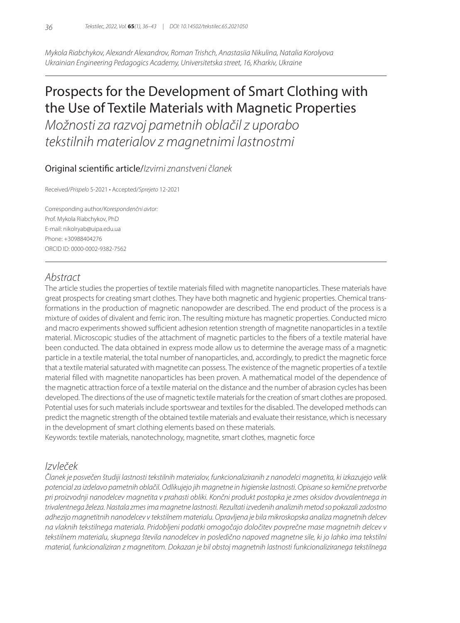*Mykola Riabchykov, Alexandr Alexandrov, Roman Trishch, Anastasiia Nikulina, Natalia Korolyova Ukrainian Engineering Pedagogics Academy, Universitetska street, 16, Kharkiv, Ukraine*

# Prospects for the Development of Smart Clothing with the Use of Textile Materials with Magnetic Properties

*Možnosti za razvoj pametnih oblačil z uporabo tekstilnih materialov z magnetnimi lastnostmi*

#### Original scientific article/*Izvirni znanstveni članek*

Received/*Prispelo* 5-2021 • Accepted/*Sprejeto* 12-2021

Corresponding author/*Korespondenčni avtor:* Prof. Mykola Riabchykov, PhD E-mail: nikolryab@uipa.edu.ua Phone: +30988404276 ORCID ID: 0000-0002-9382-7562

### *Abstract*

The article studies the properties of textile materials filled with magnetite nanoparticles. These materials have great prospects for creating smart clothes. They have both magnetic and hygienic properties. Chemical transformations in the production of magnetic nanopowder are described. The end product of the process is a mixture of oxides of divalent and ferric iron. The resulting mixture has magnetic properties. Conducted micro and macro experiments showed sufficient adhesion retention strength of magnetite nanoparticles in a textile material. Microscopic studies of the attachment of magnetic particles to the fibers of a textile material have been conducted. The data obtained in express mode allow us to determine the average mass of a magnetic particle in a textile material, the total number of nanoparticles, and, accordingly, to predict the magnetic force that a textile material saturated with magnetite can possess. The existence of the magnetic properties of a textile material filled with magnetite nanoparticles has been proven. A mathematical model of the dependence of the magnetic attraction force of a textile material on the distance and the number of abrasion cycles has been developed. The directions of the use of magnetic textile materials for the creation of smart clothes are proposed. Potential uses for such materials include sportswear and textiles for the disabled. The developed methods can predict the magnetic strength of the obtained textile materials and evaluate their resistance, which is necessary in the development of smart clothing elements based on these materials.

Keywords: textile materials, nanotechnology, magnetite, smart clothes, magnetic force

### *Izvleček*

*Članek je posvečen študiji lastnosti tekstilnih materialov, funkcionaliziranih z nanodelci magnetita, ki izkazujejo velik potencial za izdelavo pametnih oblačil. Odlikujejo jih magnetne in higienske lastnosti. Opisane so kemične pretvorbe pri proizvodnji nanodelcev magnetita v prahasti obliki. Končni produkt postopka je zmes oksidov dvovalentnega in trivalentnega železa. Nastala zmes ima magnetne lastnosti. Rezultati izvedenih analiznih metod so pokazali zadostno adhezijo magnetitnih nanodelcev v tekstilnem materialu. Opravljena je bila mikroskopska analiza magnetnih delcev na vlaknih tekstilnega materiala. Pridobljeni podatki omogočajo določitev povprečne mase magnetnih delcev v tekstilnem materialu, skupnega števila nanodelcev in posledično napoved magnetne sile, ki jo lahko ima tekstilni material, funkcionaliziran z magnetitom. Dokazan je bil obstoj magnetnih lastnosti funkcionaliziranega tekstilnega*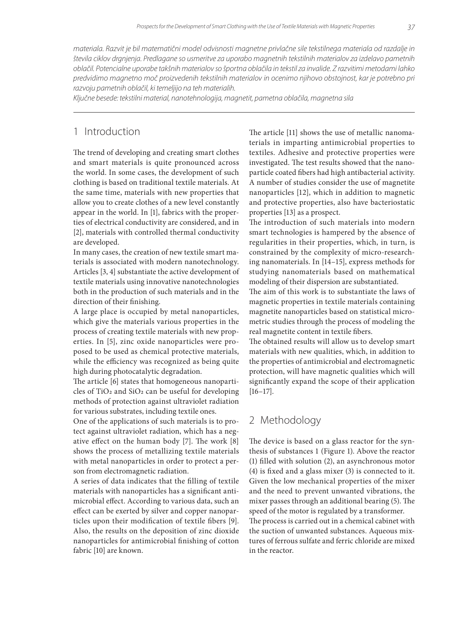*materiala. Razvit je bil matematični model odvisnosti magnetne privlačne sile tekstilnega materiala od razdalje in števila ciklov drgnjenja. Predlagane so usmeritve za uporabo magnetnih tekstilnih materialov za izdelavo pametnih oblačil. Potencialne uporabe takšnih materialov so športna oblačila in tekstil za invalide. Z razvitimi metodami lahko predvidimo magnetno moč proizvedenih tekstilnih materialov in ocenimo njihovo obstojnost, kar je potrebno pri razvoju pametnih oblačil, ki temeljijo na teh materialih.*

*Ključne besede: tekstilni material, nanotehnologija, magnetit, pametna oblačila, magnetna sila*

#### 1 Introduction

The trend of developing and creating smart clothes and smart materials is quite pronounced across the world. In some cases, the development of such clothing is based on traditional textile materials. At the same time, materials with new properties that allow you to create clothes of a new level constantly appear in the world. In [1], fabrics with the properties of electrical conductivity are considered, and in [2], materials with controlled thermal conductivity are developed.

In many cases, the creation of new textile smart materials is associated with modern nanotechnology. Articles [3, 4] substantiate the active development of textile materials using innovative nanotechnologies both in the production of such materials and in the direction of their finishing.

A large place is occupied by metal nanoparticles, which give the materials various properties in the process of creating textile materials with new properties. In [5], zinc oxide nanoparticles were proposed to be used as chemical protective materials, while the efficiency was recognized as being quite high during photocatalytic degradation.

The article [6] states that homogeneous nanoparticles of TiO<sub>2</sub> and SiO<sub>2</sub> can be useful for developing methods of protection against ultraviolet radiation for various substrates, including textile ones.

One of the applications of such materials is to protect against ultraviolet radiation, which has a negative effect on the human body [7]. The work [8] shows the process of metallizing textile materials with metal nanoparticles in order to protect a person from electromagnetic radiation.

A series of data indicates that the filling of textile materials with nanoparticles has a significant antimicrobial effect. According to various data, such an effect can be exerted by silver and copper nanoparticles upon their modification of textile fibers [9]. Also, the results on the deposition of zinc dioxide nanoparticles for antimicrobial finishing of cotton fabric [10] are known.

The article [11] shows the use of metallic nanomaterials in imparting antimicrobial properties to textiles. Adhesive and protective properties were investigated. The test results showed that the nanoparticle coated fibers had high antibacterial activity. A number of studies consider the use of magnetite nanoparticles [12], which in addition to magnetic and protective properties, also have bacteriostatic properties [13] as a prospect.

The introduction of such materials into modern smart technologies is hampered by the absence of regularities in their properties, which, in turn, is constrained by the complexity of micro-researching nanomaterials. In [14–15], express methods for studying nanomaterials based on mathematical modeling of their dispersion are substantiated.

The aim of this work is to substantiate the laws of magnetic properties in textile materials containing magnetite nanoparticles based on statistical micrometric studies through the process of modeling the real magnetite content in textile fibers.

The obtained results will allow us to develop smart materials with new qualities, which, in addition to the properties of antimicrobial and electromagnetic protection, will have magnetic qualities which will significantly expand the scope of their application [16–17].

## 2 Methodology

The device is based on a glass reactor for the synthesis of substances 1 (Figure 1). Above the reactor (1) filled with solution (2), an asynchronous motor (4) is fixed and a glass mixer (3) is connected to it. Given the low mechanical properties of the mixer and the need to prevent unwanted vibrations, the mixer passes through an additional bearing (5). The speed of the motor is regulated by a transformer. The process is carried out in a chemical cabinet with the suction of unwanted substances. Aqueous mixtures of ferrous sulfate and ferric chloride are mixed in the reactor.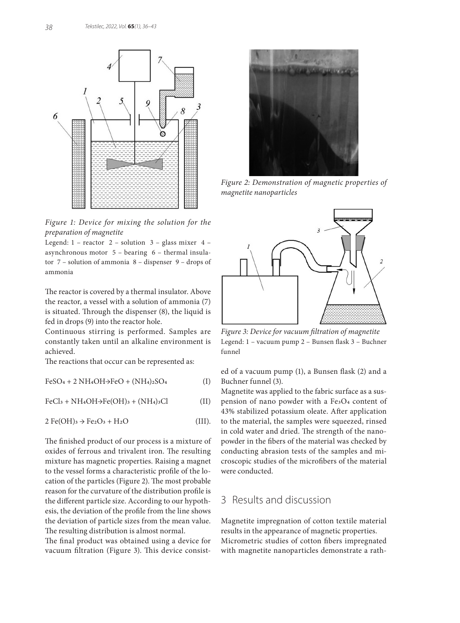

*Figure 1: Device for mixing the solution for the preparation of magnetite*

Legend:  $1$  – reactor  $2$  – solution  $3$  – glass mixer  $4$  – asynchronous motor 5 – bearing 6 – thermal insulator 7 – solution of ammonia 8 – dispenser 9 – drops of ammonia

The reactor is covered by a thermal insulator. Above the reactor, a vessel with a solution of ammonia (7) is situated. Through the dispenser (8), the liquid is fed in drops (9) into the reactor hole.

Continuous stirring is performed. Samples are constantly taken until an alkaline environment is achieved.

The reactions that occur can be represented as:

 $FeSO_4 + 2 NH_4OH \rightarrow FeO + (NH_4)_2SO_4$  (I)

 $FeCl<sub>3</sub> + NH<sub>4</sub>OH<sub>3</sub>Fe(OH)<sub>3</sub> + (NH<sub>4</sub>)<sub>3</sub>Cl$  (II)

$$
2 \text{Fe(OH)}_3 \rightarrow \text{Fe}_2\text{O}_3 + \text{H}_2\text{O} \tag{III}.
$$

The finished product of our process is a mixture of oxides of ferrous and trivalent iron. The resulting mixture has magnetic properties. Raising a magnet to the vessel forms a characteristic profile of the location of the particles (Figure 2). The most probable reason for the curvature of the distribution profile is the different particle size. According to our hypothesis, the deviation of the profile from the line shows the deviation of particle sizes from the mean value. The resulting distribution is almost normal.

The final product was obtained using a device for vacuum filtration (Figure 3). This device consist-



*Figure 2: Demonstration of magnetic properties of magnetite nanoparticles*



*Figure 3: Device for vacuum filtration of magnetite* Legend: 1 – vacuum pump 2 – Bunsen flask 3 – Buchner funnel

ed of a vacuum pump (1), a Bunsen flask (2) and a Buchner funnel (3).

Magnetite was applied to the fabric surface as a suspension of nano powder with a Fe3O4 content of 43% stabilized potassium oleate. After application to the material, the samples were squeezed, rinsed in cold water and dried. The strength of the nanopowder in the fibers of the material was checked by conducting abrasion tests of the samples and microscopic studies of the microfibers of the material were conducted.

## 3 Results and discussion

Magnetite impregnation of cotton textile material results in the appearance of magnetic properties. Micrometric studies of cotton fibers impregnated with magnetite nanoparticles demonstrate a rath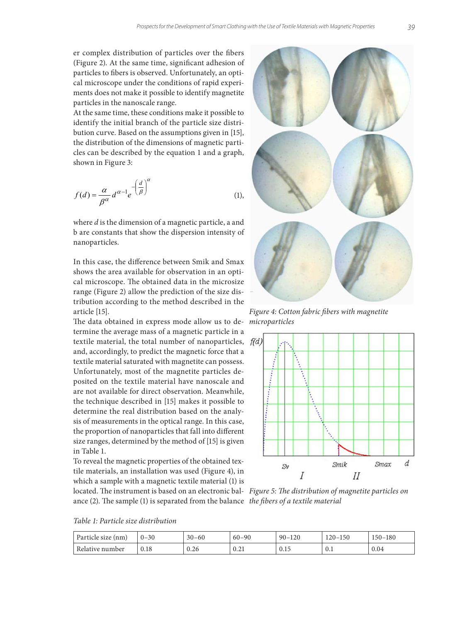er complex distribution of particles over the fibers (Figure 2). At the same time, significant adhesion of particles to fibers is observed. Unfortunately, an optical microscope under the conditions of rapid experiments does not make it possible to identify magnetite particles in the nanoscale range.

At the same time, these conditions make it possible to identify the initial branch of the particle size distri-<br>
At the same time, the same time, the same time, the particle size distribution curve. Based on the assumptions given in [15], the distribution of the dimensions of magnetic particles can be described by the equation 1 and a graph, shown in Figure 3:  $\sim$  shown in Figure 3:  $\sim$  shown in Figure 3:  $\sim$  shown in Figure 3:  $\sim$  shown in Figure 3:  $\sim$  shown in Figure 3:  $\sim$  shown in Figure 3:  $\sim$  shown in Figure 3:

$$
f(d) = \frac{\alpha}{\beta^{\alpha}} d^{\alpha-1} e^{-\left(\frac{d}{\beta}\right)^{\alpha}}
$$
 (1),

b are constants that show the dispersion intensity of nanoparticles. where *d* is the dimension of a magnetic particle, a and

shows the area available for observation in an opti $cal$  on obtained data in the microsize range  $\overline{C}$  allow the prediction of prediction of  $\overline{C}$  and  $\overline{C}$  and  $\overline{C}$  and  $\overline{C}$  and  $\overline{C}$  and  $\overline{C}$  and  $\overline{C}$  and  $\overline{C}$  and  $\overline{C}$  and  $\overline{C}$  and tribution according to the method described in the article [15]. *Figure 4: Cotton fabric fibers with magnetite Figure 4: Cotton fabric fibers with magnetite* In this case, the difference between Smik and Smax range (Figure 2) allow the prediction of the size disarticle [15].

termine the average mass of a magnetic particle in a textile material, the total number of nanoparticles,  $f(d)$ The data obtained in express mode allow us to deand, accordingly, to predict the magnetic force that a textile material saturated with magnetite can possess. Unfortunately, most of the magnetite particles deposited on the textile material have nanoscale and are not available for direct observation. Meanwhile, the technique described in [15] makes it possible to determine the real distribution based on the analysis of measurements in the optical range. In this case, the proportion of nanoparticles that fall into different size ranges, determined by the method of [15] is given in Table 1.

To reveal the magnetic properties of the obtained textile materials, an installation was used (Figure 4), in which a sample with a magnetic textile material (1) is located. The instrument is based on an electronic bal-*Figure 5: The distribution of magnetite particles on*  ance (2). The sample (1) is separated from the balance *the fibers of a textile material*



*Table 1: Particle size distribution*

| Particle size (nm) | $0 - 30$ | $30 - 60$ | $60 - 90$ | $90 - 1$<br>120 | $120 - 150$ | $150 - 180$ |
|--------------------|----------|-----------|-----------|-----------------|-------------|-------------|
| Relative number    | 0.18     | 0.26      | 0.21      | 0.15            | 0.1         | 0.04        |



*microparticles*

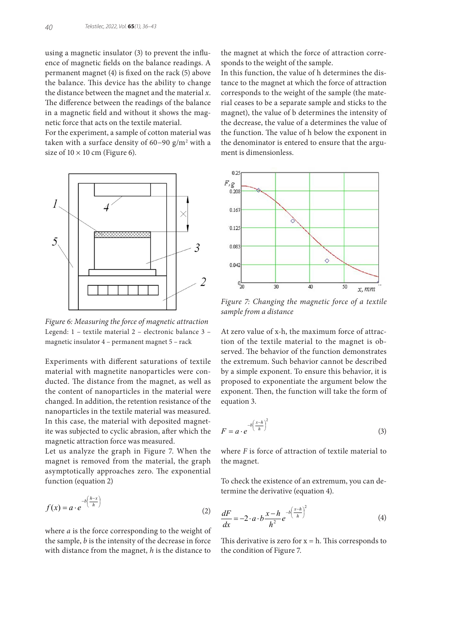using a magnetic insulator (3) to prevent the influence of magnetic fields on the balance readings. A permanent magnet (4) is fixed on the rack (5) above the balance. This device has the ability to change the distance between the magnet and the material *x*. The difference between the readings of the balance in a magnetic field and without it shows the magnetic force that acts on the textile material.

For the experiment, a sample of cotton material was taken with a surface density of 60−90 g/m2 with a size of  $10 \times 10$  cm (Figure 6).



Figure 6: Measuring the force of magnetic attraction Legend:  $1$  – textile material  $2$  – electronic balance  $3$  –  $\hbox{At zero value of x-h}$ magnetic insulator 4 – permanent magnet 5 – rack

Experiments with different saturations of textile material with magnetite nanoparticles were conducted. The distance from the magnet, as well as the content of nanoparticles in the material were exponent. Then, the function will take the changed. In addition, the retention resistance of the equation 3. nanoparticles in the textile material was measured. In this case, the material with deposited magnet-<br> $\int_{-h}^{\infty} \frac{x-h}{x} dx$ ite was subjected to cyclic abrasion, after which the  $F = a \cdot e^{-(h-1)}$ magnetic attraction force was measured.

Let us analyze the graph in Figure 7. When the magnet is removed from the material, the graph the magnet. asymptotically approaches zero. The exponential function (equation 2)

$$
f(x) = a \cdot e^{-b\left(\frac{h-x}{h}\right)}
$$
\n<sup>(2)</sup>  $dF$  <sup>(2)</sup>  $x - h^{-b\left(\frac{x-h}{h}\right)^2}$ 

the sample, *b* is the intensity of the decrease in force This derivative is zero for  $x = h$ . This corre with distance from the magnet, *h* is the distance to the condition of Figure 7. where *a* is the force corresponding to the weight of

the magnet at which the force of attraction corresponds to the weight of the sample.

In this function, the value of h determines the distance to the magnet at which the force of attraction corresponds to the weight of the sample (the material ceases to be a separate sample and sticks to the magnet), the value of b determines the intensity of the decrease, the value of a determines the value of the function. The value of h below the exponent in the denominator is entered to ensure that the argument is dimensionless.



*Figure 7: Changing the magnetic force of a textile sample from a distance*

served. The behavior of the function demonstrates At zero value of x-h, the maximum force of attraction of the textile material to the magnet is obthe extremum. Such behavior cannot be described by a simple exponent. To ensure this behavior, it is proposed to exponentiate the argument below the exponent. Then, the function will take the form of equation 3.  $\alpha$  a simple exponent. To ensure this behavior, it is proposed to exponent the to exponent the theory of  $\alpha$ 

$$
F = a \cdot e^{-b\left(\frac{x-h}{h}\right)^2} \tag{3}
$$

the magnet. where  $F$  is force of attraction of textile material to

To check the existence of an extremum, you can determine the derivative (equation 4). termine the derivative (equation 4). To check the existence of an extremum, you can de-

$$
\frac{dF}{dx} = -2 \cdot a \cdot b \frac{x - h}{h^2} e^{-b\left(\frac{x - h}{h}\right)^2}
$$
(4)

 $\sigma$  and  $\sigma$  and  $\sigma$  and  $\sigma$ the condition of Figure 7. This derivative is zero for  $x = h$ . This corresponds to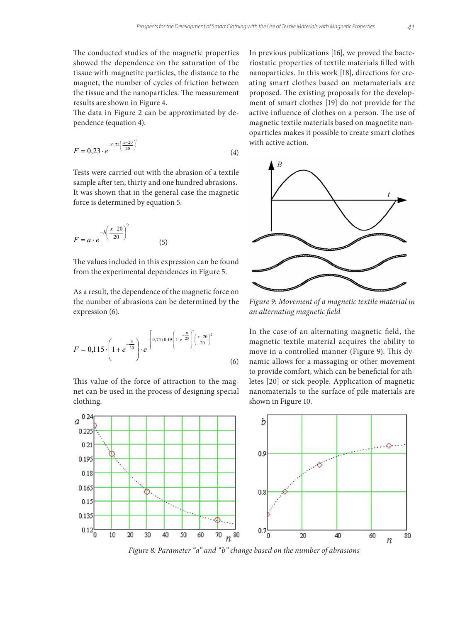The conducted studies of the magnetic properties showed the dependence on the saturation of the tissue with magnetite particles, the distance to the magnet, the number of cycles of friction between the tissue and the nanoparticles. The measurement results are shown in Figure 4.

The data in Figure 2 can be approximated by de- active influence pendence (equation 4). The data in Figure 2 can be approximated by dependence (equation 4).

$$
F = 0.23 \cdot e^{-0.74 \left(\frac{x-20}{20}\right)^2}
$$
 with active action. (4)

sample after ten, thirty and one hundred abrasions. It was shown that in the general case the magnetic force is determined by equation 5. Tests were carried out with the abrasion of a textile  $\qquad \qquad$ 

$$
F = a \cdot e^{-b\left(\frac{x-20}{20}\right)^2}
$$
\n<sup>(5)</sup>

from the experimental dependences in Figure 5. The values included in this expression can be found

As a result, the dependence of the magnetic force on the number of abrasions can be determined by the expression (6).  $\mathcal{L}_{\text{F}}$ 

$$
F = 0,115 \cdot \left(1 + e^{-\frac{n}{30}}\right) \cdot e^{-\left[0,74 + 0,19\left(1 - e^{-\frac{n}{25}}\right)\right] \left(\frac{x - 20}{20}\right)^2}
$$
(6)

net can be used in the process of designing special nanomaterials to the surface of pile mat clothing. clothing. This value of the force of attraction to the mag-

In previous publications [16], we proved the bacteriostatic properties of textile materials filled with nanoparticles. In this work [18], directions for creating smart clothes based on metamaterials are proposed. The existing proposals for the development of smart clothes [19] do not provide for the active influence of clothes on a person. The use of magnetic textile materials based on magnetite nanoparticles makes it possible to create smart clothes



*Figure 9: Movement of a magnetic textile material in an alternating magnetic field*

 $F = 0.115 \cdot |1 + e^{-30}| \cdot e^{-1}$  (Figure 9). This dy-In the case of an alternating magnetic field, the magnetic textile material acquires the ability to namic allows for a massaging or other movement to provide comfort, which can be beneficial for athletes [20] or sick people. Application of magnetic nanomaterials to the surface of pile materials are shown in Figure 10.



*Figure 8: Parameter "a" and "b" change based on the number of abrasions*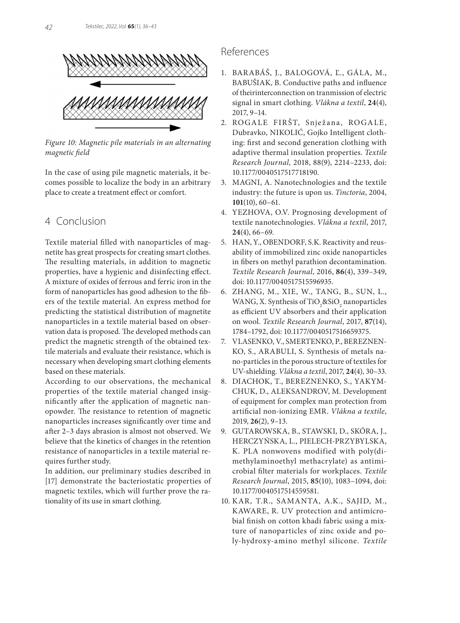

*Figure 10: Magnetic pile materials in an alternating magnetic field*

In the case of using pile magnetic materials, it becomes possible to localize the body in an arbitrary place to create a treatment effect or comfort.

#### 4 Conclusion

Textile material filled with nanoparticles of magnetite has great prospects for creating smart clothes. The resulting materials, in addition to magnetic properties, have a hygienic and disinfecting effect. A mixture of oxides of ferrous and ferric iron in the form of nanoparticles has good adhesion to the fibers of the textile material. An express method for predicting the statistical distribution of magnetite nanoparticles in a textile material based on observation data is proposed. The developed methods can predict the magnetic strength of the obtained textile materials and evaluate their resistance, which is necessary when developing smart clothing elements based on these materials.

According to our observations, the mechanical properties of the textile material changed insignificantly after the application of magnetic nanopowder. The resistance to retention of magnetic nanoparticles increases significantly over time and after 2–3 days abrasion is almost not observed. We believe that the kinetics of changes in the retention resistance of nanoparticles in a textile material requires further study.

In addition, our preliminary studies described in [17] demonstrate the bacteriostatic properties of magnetic textiles, which will further prove the rationality of its use in smart clothing.

#### References

- 1. BARABÁŠ, J., BALOGOVÁ, Ľ., GÁLA, M., BABUŠIAK, B. Conductive paths and influence of theirinterconnection on tranmission of electric signal in smart clothing. *Vlákna a textil*, **24**(4), 2017, 9–14.
- 2. ROGALE FIRŠT, Snježana, ROGALE, Dubravko, NIKOLIĆ, Gojko Intelligent clothing: first and second generation clothing with adaptive thermal insulation properties. *Textile Research Journal,* 2018, 88(9), 2214–2233, doi: 10.1177/0040517517718190.
- 3. MAGNI, A. Nanotechnologies and the textile industry: the future is upon us. *Tinctoria*, 2004, **101**(10), 60–61.
- 4. YEZHOVA, O.V. Prognosing development of textile nanotechnologies. *Vlákna a textil*, 2017, **24**(4), 66–69.
- 5. HAN, Y., OBENDORF, S.K. Reactivity and reusability of immobilized zinc oxide nanoparticles in fibers on methyl parathion decontamination. *Textile Research Journal*, 2016, **86**(4), 339–349, doi: 10.1177/0040517515596935.
- 6. ZHANG, M., XIE, W., TANG, B., SUN, L., WANG, X. Synthesis of TiO<sub>2</sub>&SiO<sub>2</sub> nanoparticles as efficient UV absorbers and their application on wool. *Textile Research Journal*, 2017, **87**(14), 1784–1792, doi: 10.1177/0040517516659375.
- 7. VLASENKO, V., SMERTENKO, P., BEREZNEN-KO, S., ARABULI, S. Synthesis of metals nano-particles in the porous structure of textiles for UV-shielding. *Vlákna a textil*, 2017, **24**(4), 30–33.
- 8. DIACHOK, T., BEREZNENKO, S., YAKYM-CHUK, D., ALEKSANDROV, M. Development of equipment for complex man protection from artificial non-ionizing EMR. *Vlákna a textile*, 2019, **26**(2), 9–13.
- 9. GUTAROWSKA, B., STAWSKI, D., SKÓRA, J., HERCZYŃSKA, L., PIELECH-PRZYBYLSKA, K. PLA nonwovens modified with poly(dimethylaminoethyl methacrylate) as antimicrobial filter materials for workplaces. *Textile Research Journal*, 2015, **85**(10), 1083–1094, doi: 10.1177/0040517514559581.
- 10. KAR, T.R., SAMANTA, A.K., SAJID, M., KAWARE, R. UV protection and antimicrobial finish on cotton khadi fabric using a mixture of nanoparticles of zinc oxide and poly-hydroxy-amino methyl silicone. *Textile*